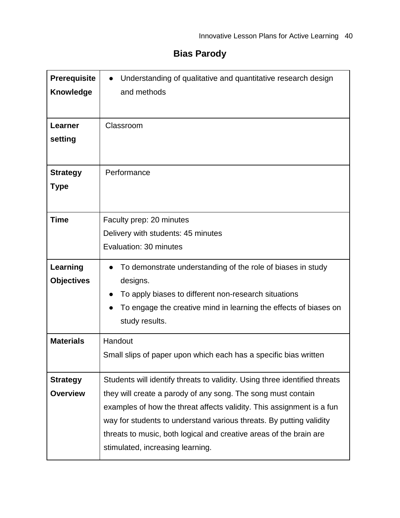# **Bias Parody**

| <b>Prerequisite</b><br><b>Knowledge</b><br><b>Learner</b> | Understanding of qualitative and quantitative research design<br>and methods<br>Classroom                                                                                                                                                                                                                                                                                                            |
|-----------------------------------------------------------|------------------------------------------------------------------------------------------------------------------------------------------------------------------------------------------------------------------------------------------------------------------------------------------------------------------------------------------------------------------------------------------------------|
| setting                                                   |                                                                                                                                                                                                                                                                                                                                                                                                      |
| <b>Strategy</b><br><b>Type</b>                            | Performance                                                                                                                                                                                                                                                                                                                                                                                          |
| <b>Time</b>                                               | Faculty prep: 20 minutes<br>Delivery with students: 45 minutes<br>Evaluation: 30 minutes                                                                                                                                                                                                                                                                                                             |
| Learning<br><b>Objectives</b>                             | To demonstrate understanding of the role of biases in study<br>designs.<br>To apply biases to different non-research situations<br>To engage the creative mind in learning the effects of biases on<br>study results.                                                                                                                                                                                |
| <b>Materials</b>                                          | Handout<br>Small slips of paper upon which each has a specific bias written                                                                                                                                                                                                                                                                                                                          |
| <b>Strategy</b><br><b>Overview</b>                        | Students will identify threats to validity. Using three identified threats<br>they will create a parody of any song. The song must contain<br>examples of how the threat affects validity. This assignment is a fun<br>way for students to understand various threats. By putting validity<br>threats to music, both logical and creative areas of the brain are<br>stimulated, increasing learning. |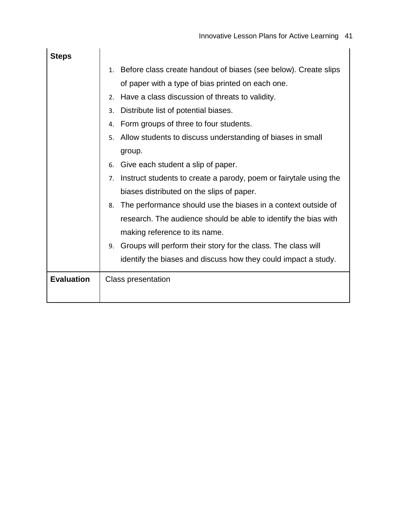| <b>Steps</b>      |                                                                         |
|-------------------|-------------------------------------------------------------------------|
|                   | Before class create handout of biases (see below). Create slips<br>1.   |
|                   | of paper with a type of bias printed on each one.                       |
|                   | Have a class discussion of threats to validity.<br>2.                   |
|                   | Distribute list of potential biases.<br>3.                              |
|                   | Form groups of three to four students.<br>4.                            |
|                   | Allow students to discuss understanding of biases in small<br>5.        |
|                   | group.                                                                  |
|                   | Give each student a slip of paper.<br>6.                                |
|                   | Instruct students to create a parody, poem or fairytale using the<br>7. |
|                   | biases distributed on the slips of paper.                               |
|                   | The performance should use the biases in a context outside of<br>8.     |
|                   | research. The audience should be able to identify the bias with         |
|                   | making reference to its name.                                           |
|                   | Groups will perform their story for the class. The class will<br>9.     |
|                   | identify the biases and discuss how they could impact a study.          |
| <b>Evaluation</b> | <b>Class presentation</b>                                               |
|                   |                                                                         |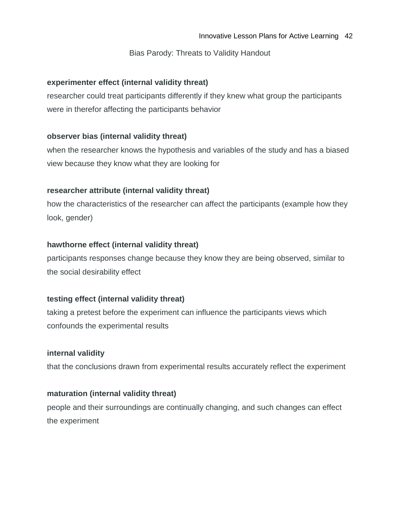## Bias Parody: Threats to Validity Handout

## **experimenter effect (internal validity threat)**

researcher could treat participants differently if they knew what group the participants were in therefor affecting the participants behavior

## **observer bias (internal validity threat)**

when the researcher knows the hypothesis and variables of the study and has a biased view because they know what they are looking for

# **researcher attribute (internal validity threat)**

how the characteristics of the researcher can affect the participants (example how they look, gender)

# **hawthorne effect (internal validity threat)**

participants responses change because they know they are being observed, similar to the social desirability effect

## **testing effect (internal validity threat)**

taking a pretest before the experiment can influence the participants views which confounds the experimental results

## **internal validity**

that the conclusions drawn from experimental results accurately reflect the experiment

## **maturation (internal validity threat)**

people and their surroundings are continually changing, and such changes can effect the experiment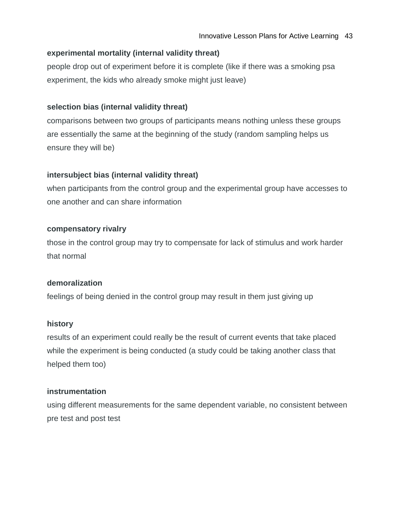## **experimental mortality (internal validity threat)**

people drop out of experiment before it is complete (like if there was a smoking psa experiment, the kids who already smoke might just leave)

# **selection bias (internal validity threat)**

comparisons between two groups of participants means nothing unless these groups are essentially the same at the beginning of the study (random sampling helps us ensure they will be)

# **intersubject bias (internal validity threat)**

when participants from the control group and the experimental group have accesses to one another and can share information

## **compensatory rivalry**

those in the control group may try to compensate for lack of stimulus and work harder that normal

## **demoralization**

feelings of being denied in the control group may result in them just giving up

## **history**

results of an experiment could really be the result of current events that take placed while the experiment is being conducted (a study could be taking another class that helped them too)

## **instrumentation**

using different measurements for the same dependent variable, no consistent between pre test and post test